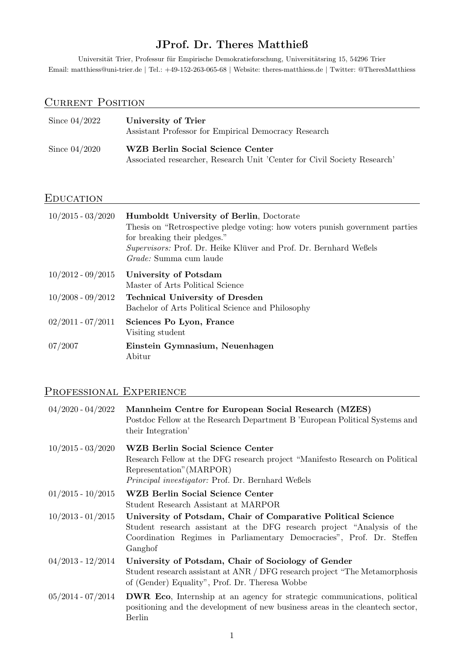# JProf. Dr. Theres Matthieß

Universität Trier, Professur für Empirische Demokratieforschung, Universitätsring 15, 54296 Trier Email: [matthiess@uni-trier.de](mailto: matthiess@uni-trier.de) | Tel.: +49-152-263-065-68 | Website: [theres-matthiess.de](https://theres-matthiess.de) | Twitter: [@TheresMatthiess](https://twitter.com/TheresMatthiess)

# CURRENT POSITION

| Since $04/2022$ | University of Trier<br>Assistant Professor for Empirical Democracy Research                                  |
|-----------------|--------------------------------------------------------------------------------------------------------------|
| Since $04/2020$ | WZB Berlin Social Science Center<br>Associated researcher, Research Unit 'Center for Civil Society Research' |

#### EDUCATION

| $10/2015 - 03/2020$ | <b>Humboldt University of Berlin, Doctorate</b><br>Thesis on "Retrospective pledge voting: how voters punish government parties<br>for breaking their pledges."<br>Supervisors: Prof. Dr. Heike Klüver and Prof. Dr. Bernhard Weßels<br><i>Grade:</i> Summa cum laude |
|---------------------|-----------------------------------------------------------------------------------------------------------------------------------------------------------------------------------------------------------------------------------------------------------------------|
| $10/2012 - 09/2015$ | University of Potsdam<br>Master of Arts Political Science                                                                                                                                                                                                             |
| $10/2008 - 09/2012$ | <b>Technical University of Dresden</b><br>Bachelor of Arts Political Science and Philosophy                                                                                                                                                                           |
| $02/2011 - 07/2011$ | Sciences Po Lyon, France<br>Visiting student                                                                                                                                                                                                                          |
| 07/2007             | Einstein Gymnasium, Neuenhagen<br>Abitur                                                                                                                                                                                                                              |

# Professional Experience

| $04/2020 - 04/2022$   | Mannheim Centre for European Social Research (MZES)<br>Postdoc Fellow at the Research Department B 'European Political Systems and<br>their Integration'                                                                     |
|-----------------------|------------------------------------------------------------------------------------------------------------------------------------------------------------------------------------------------------------------------------|
| $10/2015 - 03/2020$   | WZB Berlin Social Science Center<br>Research Fellow at the DFG research project "Manifesto Research on Political<br>Representation" (MARPOR)<br><i>Principal investigator:</i> Prof. Dr. Bernhard Webels                     |
| $01/2015 - 10/2015$   | <b>WZB Berlin Social Science Center</b><br>Student Research Assistant at MARPOR                                                                                                                                              |
| $10/2013 - 01/2015$   | University of Potsdam, Chair of Comparative Political Science<br>Student research assistant at the DFG research project "Analysis of the<br>Coordination Regimes in Parliamentary Democracies", Prof. Dr. Steffen<br>Ganghof |
| $04/2013 - 12/2014$   | University of Potsdam, Chair of Sociology of Gender<br>Student research assistant at ANR / DFG research project "The Metamorphosis"<br>of (Gender) Equality", Prof. Dr. Theresa Wobbe                                        |
| $05/2014$ - $07/2014$ | <b>DWR Eco</b> , Internship at an agency for strategic communications, political<br>positioning and the development of new business areas in the cleantech sector,<br>Berlin                                                 |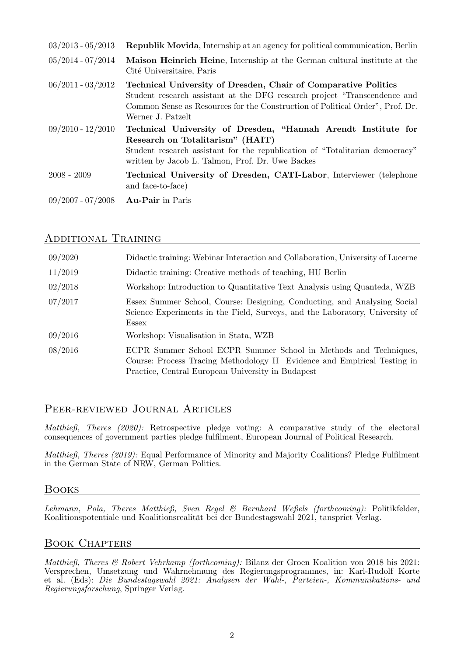| $03/2013 - 05/2013$ | <b>Republik Movida</b> , Internship at an agency for political communication, Berlin                                                                                                                                                              |
|---------------------|---------------------------------------------------------------------------------------------------------------------------------------------------------------------------------------------------------------------------------------------------|
| $05/2014 - 07/2014$ | Maison Heinrich Heine, Internship at the German cultural institute at the<br>Cité Universitaire, Paris                                                                                                                                            |
| $06/2011 - 03/2012$ | Technical University of Dresden, Chair of Comparative Politics<br>Student research assistant at the DFG research project "Transcendence and<br>Common Sense as Resources for the Construction of Political Order", Prof. Dr.<br>Werner J. Patzelt |
| $09/2010 - 12/2010$ | Technical University of Dresden, "Hannah Arendt Institute for<br>Research on Totalitarism" (HAIT)<br>Student research assistant for the republication of "Totalitarian democracy"<br>written by Jacob L. Talmon, Prof. Dr. Uwe Backes             |
| $2008 - 2009$       | <b>Technical University of Dresden, CATI-Labor, Interviewer (telephone)</b><br>and face-to-face)                                                                                                                                                  |
| $09/2007 - 07/2008$ | <b>Au-Pair</b> in Paris                                                                                                                                                                                                                           |

#### Additional Training

| 09/2020 | Didactic training: Webinar Interaction and Collaboration, University of Lucerne                                                                                                                   |
|---------|---------------------------------------------------------------------------------------------------------------------------------------------------------------------------------------------------|
| 11/2019 | Didactic training: Creative methods of teaching, HU Berlin                                                                                                                                        |
| 02/2018 | Workshop: Introduction to Quantitative Text Analysis using Quanteda, WZB                                                                                                                          |
| 07/2017 | Essex Summer School, Course: Designing, Conducting, and Analysing Social<br>Science Experiments in the Field, Surveys, and the Laboratory, University of<br>Essex                                 |
| 09/2016 | Workshop: Visualisation in Stata, WZB                                                                                                                                                             |
| 08/2016 | ECPR Summer School ECPR Summer School in Methods and Techniques,<br>Course: Process Tracing Methodology II Evidence and Empirical Testing in<br>Practice, Central European University in Budapest |

## Peer-reviewed Journal Articles

Matthieß, Theres (2020): [Retrospective pledge voting: A comparative study of the electoral](https://ejpr.onlinelibrary.wiley.com/doi/abs/10.1111/1475-6765.12377) [consequences of government parties pledge fulfilment,](https://ejpr.onlinelibrary.wiley.com/doi/abs/10.1111/1475-6765.12377) European Journal of Political Research.

Matthieß, Theres (2019): [Equal Performance of Minority and Majority Coalitions? Pledge Fulfilment](https://www.tandfonline.com/doi/full/10.1080/09644008.2018.1528235) [in the German State of NRW,](https://www.tandfonline.com/doi/full/10.1080/09644008.2018.1528235) German Politics.

#### Books

Lehmann, Pola, Theres Matthieß, Sven Regel & Bernhard Weßels (forthcoming): Politikfelder, Koalitionspotentiale und Koalitionsrealität bei der Bundestagswahl 2021, tansprict Verlag.

## Book Chapters

Matthieß, Theres & Robert Vehrkamp (forthcoming): Bilanz der Groen Koalition von 2018 bis 2021: Versprechen, Umsetzung und Wahrnehmung des Regierungsprogrammes, in: Karl-Rudolf Korte et al. (Eds): Die Bundestagswahl 2021: Analysen der Wahl-, Parteien-, Kommunikations- und Regierungsforschung, Springer Verlag.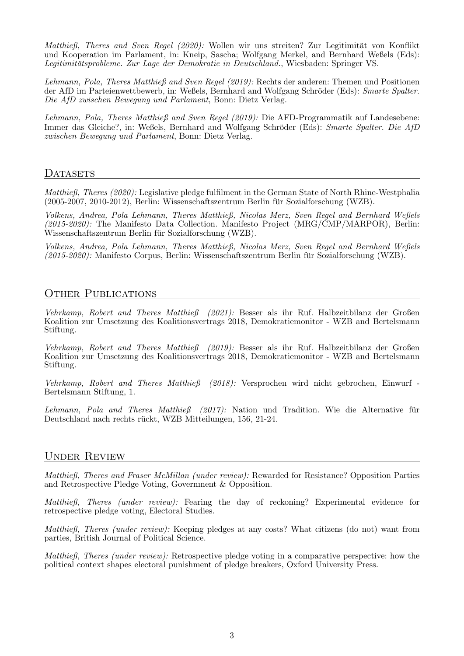Matthieß, Theres and Sven Regel (2020): Wollen wir uns streiten? Zur Legitimität von Konflikt und Kooperation im Parlament, in: Kneip, Sascha; Wolfgang Merkel, and Bernhard Weßels (Eds): Legitimitätsprobleme. Zur Lage der Demokratie in Deutschland., Wiesbaden: Springer VS.

Lehmann, Pola, Theres Matthieß and Sven Regel (2019): Rechts der anderen: Themen und Positionen der AfD im Parteienwettbewerb, in: Weßels, Bernhard and Wolfgang Schröder (Eds): Smarte Spalter. Die AfD zwischen Bewegung und Parlament, Bonn: Dietz Verlag.

Lehmann, Pola, Theres Matthieß and Sven Regel (2019): Die AFD-Programmatik auf Landesebene: Immer das Gleiche?, in: Weßels, Bernhard and Wolfgang Schröder (Eds): Smarte Spalter. Die AfD zwischen Bewegung und Parlament, Bonn: Dietz Verlag.

#### DATASETS

Matthieß, Theres (2020): [Legislative pledge fulfilment in the German State of North Rhine-Westphalia](https://doi.org/10.7802/1.1960)  $(2005-2007, 2010-2012)$ , Berlin: Wissenschaftszentrum Berlin für Sozialforschung (WZB).

Volkens, Andrea, Pola Lehmann, Theres Matthieß, Nicolas Merz, Sven Regel and Bernhard Weßels  $(2015-2020)$ : The Manifesto Data Collection. Manifesto Project (MRG/CMP/MARPOR), Berlin: Wissenschaftszentrum Berlin für Sozialforschung (WZB).

Volkens, Andrea, Pola Lehmann, Theres Matthieß, Nicolas Merz, Sven Regel and Bernhard Weßels (2015-2020): Manifesto Corpus, Berlin: Wissenschaftszentrum Berlin für Sozialforschung (WZB).

#### OTHER PUBLICATIONS

Vehrkamp, Robert and Theres Matthieß (2021): [Besser als ihr Ruf. Halbzeitbilanz der Großen](https://www.bertelsmann-stiftung.de/fileadmin/files/BSt/Publikationen/GrauePublikationen/ZD_Studie_Besser_als_ihr_Ruf.pdf) [Koalition zur Umsetzung des Koalitionsvertrags 2018,](https://www.bertelsmann-stiftung.de/fileadmin/files/BSt/Publikationen/GrauePublikationen/ZD_Studie_Besser_als_ihr_Ruf.pdf) Demokratiemonitor - WZB and Bertelsmann Stiftung.

Vehrkamp, Robert and Theres Matthieß (2019): [Besser als ihr Ruf. Halbzeitbilanz der Großen](https://www.bertelsmann-stiftung.de/fileadmin/files/BSt/Publikationen/GrauePublikationen/ZD_Studie_Besser_als_ihr_Ruf.pdf) [Koalition zur Umsetzung des Koalitionsvertrags 2018,](https://www.bertelsmann-stiftung.de/fileadmin/files/BSt/Publikationen/GrauePublikationen/ZD_Studie_Besser_als_ihr_Ruf.pdf) Demokratiemonitor - WZB and Bertelsmann Stiftung.

Vehrkamp, Robert and Theres Matthieß (2018): [Versprochen wird nicht gebrochen,](https://www.bertelsmann-stiftung.de/fileadmin/files/BSt/Publikationen/GrauePublikationen/ZD_EINWURF_1_2018.pdf) Einwurf - Bertelsmann Stiftung, 1.

Lehmann, Pola and Theres Matthieß (2017): Nation und Tradition. Wie die Alternative für Deutschland nach rechts rückt, WZB Mitteilungen, 156, 21-24.

#### Under Review

Matthieß, Theres and Fraser McMillan (under review): Rewarded for Resistance? Opposition Parties and Retrospective Pledge Voting, Government & Opposition.

Matthieß, Theres (under review): Fearing the day of reckoning? Experimental evidence for retrospective pledge voting, Electoral Studies.

Matthieß, Theres (under review): Keeping pledges at any costs? What citizens (do not) want from parties, British Journal of Political Science.

Matthieß, Theres (under review): Retrospective pledge voting in a comparative perspective: how the political context shapes electoral punishment of pledge breakers, Oxford University Press.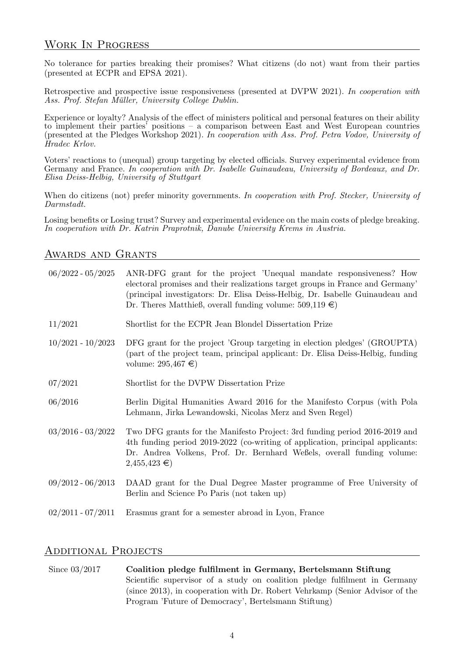#### Work In Progress

No tolerance for parties breaking their promises? What citizens (do not) want from their parties (presented at ECPR and EPSA 2021).

Retrospective and prospective issue responsiveness (presented at DVPW 2021). In cooperation with Ass. Prof. Stefan Müller, University College Dublin.

Experience or loyalty? Analysis of the effect of ministers political and personal features on their ability to implement their parties' positions – a comparison between East and West European countries (presented at the Pledges Workshop 2021). In cooperation with Ass. Prof. Petra Vodov, University of Hradec Krlov.

Voters' reactions to (unequal) group targeting by elected officials. Survey experimental evidence from Germany and France. In cooperation with Dr. Isabelle Guinaudeau, University of Bordeaux, and Dr. Elisa Deiss-Helbig, University of Stuttgart

When do citizens (not) prefer minority governments. In cooperation with Prof. Stecker, University of Darmstadt.

Losing benefits or Losing trust? Survey and experimental evidence on the main costs of pledge breaking. In cooperation with Dr. Katrin Praprotnik, Danube University Krems in Austria.

#### AWARDS AND GRANTS

| $06/2022 - 05/2025$ | ANR-DFG grant for the project 'Unequal mandate responsiveness? How<br>electoral promises and their realizations target groups in France and Germany'<br>(principal investigators: Dr. Elisa Deiss-Helbig, Dr. Isabelle Guinaudeau and<br>Dr. Theres Matthieß, overall funding volume: $509,119 \in$ |
|---------------------|-----------------------------------------------------------------------------------------------------------------------------------------------------------------------------------------------------------------------------------------------------------------------------------------------------|
| 11/2021             | Shortlist for the ECPR Jean Blondel Dissertation Prize                                                                                                                                                                                                                                              |
| $10/2021 - 10/2023$ | DFG grant for the project 'Group targeting in election pledges' (GROUPTA)<br>(part of the project team, principal applicant: Dr. Elisa Deiss-Helbig, funding<br>volume: $295,467 \in$                                                                                                               |
| 07/2021             | Shortlist for the DVPW Dissertation Prize                                                                                                                                                                                                                                                           |
| 06/2016             | Berlin Digital Humanities Award 2016 for the Manifesto Corpus (with Pola<br>Lehmann, Jirka Lewandowski, Nicolas Merz and Sven Regel)                                                                                                                                                                |
| $03/2016 - 03/2022$ | Two DFG grants for the Manifesto Project: 3rd funding period 2016-2019 and<br>4th funding period 2019-2022 (co-writing of application, principal applicants:<br>Dr. Andrea Volkens, Prof. Dr. Bernhard Weßels, overall funding volume:<br>$2,455,423 \in$                                           |
| $09/2012 - 06/2013$ | DAAD grant for the Dual Degree Master programme of Free University of<br>Berlin and Science Po Paris (not taken up)                                                                                                                                                                                 |
| $02/2011 - 07/2011$ | Erasmus grant for a semester abroad in Lyon, France                                                                                                                                                                                                                                                 |

#### Additional Projects

Since 03/2017 Coalition pledge fulfilment in Germany, Bertelsmann Stiftung Scientific supervisor of a study on coalition pledge fulfilment in Germany (since 2013), in cooperation with Dr. Robert Vehrkamp (Senior Advisor of the Program 'Future of Democracy', Bertelsmann Stiftung)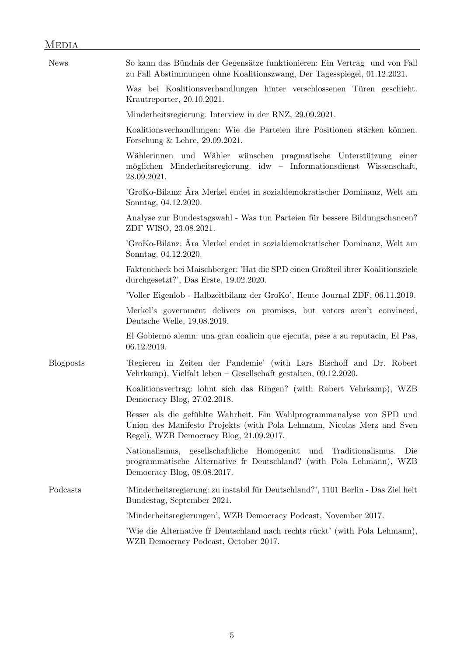| <b>News</b>      | So kann das Bündnis der Gegensätze funktionieren: Ein Vertrag und von Fall<br>zu Fall Abstimmungen ohne Koalitionszwang, Der Tagesspiegel, 01.12.2021.                                     |
|------------------|--------------------------------------------------------------------------------------------------------------------------------------------------------------------------------------------|
|                  | Was bei Koalitionsverhandlungen hinter verschlossenen Türen geschieht.<br>Krautreporter, 20.10.2021.                                                                                       |
|                  | Minderheitsregierung. Interview in der RNZ, 29.09.2021.                                                                                                                                    |
|                  | Koalitionsverhandlungen: Wie die Parteien ihre Positionen stärken können.<br>Forschung & Lehre, $29.09.2021$ .                                                                             |
|                  | Wählerinnen und Wähler wünschen pragmatische Unterstützung einer<br>möglichen Minderheitsregierung. idw - Informationsdienst Wissenschaft,<br>28.09.2021.                                  |
|                  | 'GroKo-Bilanz: Åra Merkel endet in sozialdemokratischer Dominanz, Welt am<br>Sonntag, 04.12.2020.                                                                                          |
|                  | Analyse zur Bundestagswahl - Was tun Parteien für bessere Bildungschancen?<br>ZDF WISO, 23.08.2021.                                                                                        |
|                  | 'GroKo-Bilanz: Ära Merkel endet in sozialdemokratischer Dominanz, Welt am<br>Sonntag, 04.12.2020.                                                                                          |
|                  | Faktencheck bei Maischberger: 'Hat die SPD einen Großteil ihrer Koalitionsziele<br>durchgesetzt?', Das Erste, $19.02.2020$ .                                                               |
|                  | 'Voller Eigenlob - Halbzeitbilanz der GroKo', Heute Journal ZDF, 06.11.2019.                                                                                                               |
|                  | Merkel's government delivers on promises, but voters aren't convinced,<br>Deutsche Welle, 19.08.2019.                                                                                      |
|                  | El Gobierno alemn: una gran coalicin que ejecuta, pese a su reputacin, El Pas,<br>06.12.2019.                                                                                              |
| <b>Blogposts</b> | 'Regieren in Zeiten der Pandemie' (with Lars Bischoff and Dr. Robert<br>Vehrkamp), Vielfalt leben - Gesellschaft gestalten, 09.12.2020.                                                    |
|                  | Koalitionsvertrag: lohnt sich das Ringen? (with Robert Vehrkamp), WZB<br>Democracy Blog, 27.02.2018.                                                                                       |
|                  | Besser als die gefühlte Wahrheit. Ein Wahlprogrammanalyse von SPD und<br>Union des Manifesto Projekts (with Pola Lehmann, Nicolas Merz and Sven<br>Regel), WZB Democracy Blog, 21.09.2017. |
|                  | Nationalismus, gesellschaftliche Homogenitt und<br>Traditionalismus.<br>Die<br>programmatische Alternative fr Deutschland? (with Pola Lehmann), WZB<br>Democracy Blog, 08.08.2017.         |
| Podcasts         | 'Minderheitsregierung: zu instabil für Deutschland?', 1101 Berlin - Das Ziel heit<br>Bundestag, September 2021.                                                                            |
|                  | 'Minderheitsregierungen', WZB Democracy Podcast, November 2017.                                                                                                                            |
|                  | Wie die Alternative fr Deutschland nach rechts rückt' (with Pola Lehmann),<br>WZB Democracy Podcast, October 2017.                                                                         |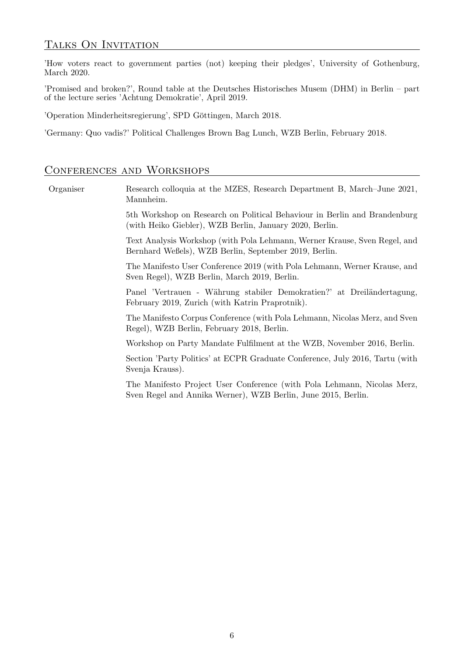## TALKS ON INVITATION

'How voters react to government parties (not) keeping their pledges', University of Gothenburg, March 2020.

'Promised and broken?', Round table at the Deutsches Historisches Musem (DHM) in Berlin – part of the lecture series 'Achtung Demokratie', April 2019.

'Operation Minderheitsregierung', SPD Göttingen, March 2018.

'Germany: Quo vadis?' Political Challenges Brown Bag Lunch, WZB Berlin, February 2018.

#### CONFERENCES AND WORKSHOPS

| Organiser | Research colloquia at the MZES, Research Department B, March–June 2021,<br>Mannheim.                                                     |
|-----------|------------------------------------------------------------------------------------------------------------------------------------------|
|           | 5th Workshop on Research on Political Behaviour in Berlin and Brandenburg<br>(with Heiko Giebler), WZB Berlin, January 2020, Berlin.     |
|           | Text Analysis Workshop (with Pola Lehmann, Werner Krause, Sven Regel, and<br>Bernhard Weßels), WZB Berlin, September 2019, Berlin.       |
|           | The Manifesto User Conference 2019 (with Pola Lehmann, Werner Krause, and<br>Sven Regel), WZB Berlin, March 2019, Berlin.                |
|           | Panel 'Vertrauen - Währung stabiler Demokratien?' at Dreiländertagung,<br>February 2019, Zurich (with Katrin Praprotnik).                |
|           | The Manifesto Corpus Conference (with Pola Lehmann, Nicolas Merz, and Sven<br>Regel), WZB Berlin, February 2018, Berlin.                 |
|           | Workshop on Party Mandate Fulfilment at the WZB, November 2016, Berlin.                                                                  |
|           | Section 'Party Politics' at ECPR Graduate Conference, July 2016, Tartu (with<br>Svenja Krauss).                                          |
|           | The Manifesto Project User Conference (with Pola Lehmann, Nicolas Merz,<br>Sven Regel and Annika Werner), WZB Berlin, June 2015, Berlin. |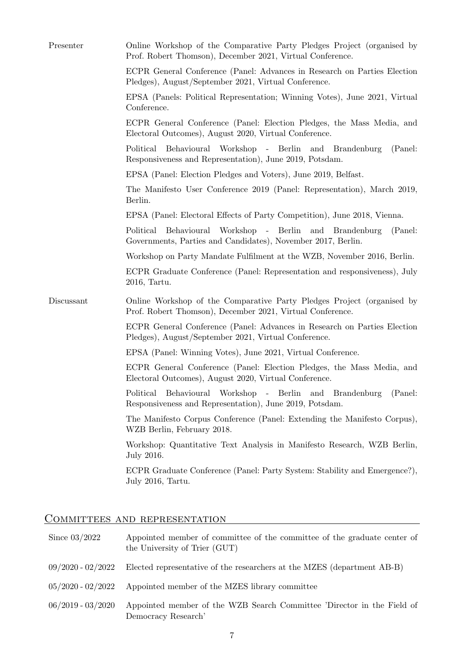| Presenter  | Online Workshop of the Comparative Party Pledges Project (organised by<br>Prof. Robert Thomson), December 2021, Virtual Conference.         |
|------------|---------------------------------------------------------------------------------------------------------------------------------------------|
|            | ECPR General Conference (Panel: Advances in Research on Parties Election<br>Pledges), August/September 2021, Virtual Conference.            |
|            | EPSA (Panels: Political Representation; Winning Votes), June 2021, Virtual<br>Conference.                                                   |
|            | ECPR General Conference (Panel: Election Pledges, the Mass Media, and<br>Electoral Outcomes), August 2020, Virtual Conference.              |
|            | Behavioural<br>Workshop - Berlin and Brandenburg<br>Political<br>(Panel:<br>Responsiveness and Representation), June 2019, Potsdam.         |
|            | EPSA (Panel: Election Pledges and Voters), June 2019, Belfast.                                                                              |
|            | The Manifesto User Conference 2019 (Panel: Representation), March 2019,<br>Berlin.                                                          |
|            | EPSA (Panel: Electoral Effects of Party Competition), June 2018, Vienna.                                                                    |
|            | Behavioural<br>Workshop - Berlin<br>(Panel:<br>Political<br>and Brandenburg<br>Governments, Parties and Candidates), November 2017, Berlin. |
|            | Workshop on Party Mandate Fulfilment at the WZB, November 2016, Berlin.                                                                     |
|            | ECPR Graduate Conference (Panel: Representation and responsiveness), July<br>2016, Tartu.                                                   |
| Discussant | Online Workshop of the Comparative Party Pledges Project (organised by<br>Prof. Robert Thomson), December 2021, Virtual Conference.         |
|            | ECPR General Conference (Panel: Advances in Research on Parties Election<br>Pledges), August/September 2021, Virtual Conference.            |
|            | EPSA (Panel: Winning Votes), June 2021, Virtual Conference.                                                                                 |
|            | ECPR General Conference (Panel: Election Pledges, the Mass Media, and<br>Electoral Outcomes), August 2020, Virtual Conference.              |
|            | Behavioural Workshop - Berlin and Brandenburg<br>(Panel:<br>Political<br>Responsiveness and Representation), June 2019, Potsdam.            |
|            | The Manifesto Corpus Conference (Panel: Extending the Manifesto Corpus),<br>WZB Berlin, February 2018.                                      |
|            | Workshop: Quantitative Text Analysis in Manifesto Research, WZB Berlin,<br>July 2016.                                                       |
|            | ECPR Graduate Conference (Panel: Party System: Stability and Emergence?),<br>July 2016, Tartu.                                              |

# COMMITTEES AND REPRESENTATION

| Since $03/2022$       | Appointed member of committee of the committee of the graduate center of<br>the University of Trier (GUT) |
|-----------------------|-----------------------------------------------------------------------------------------------------------|
| $09/2020 - 02/2022$   | Elected representative of the researchers at the MZES (department AB-B)                                   |
| $05/2020$ - $02/2022$ | Appointed member of the MZES library committee                                                            |
| $06/2019 - 03/2020$   | Appointed member of the WZB Search Committee 'Director in the Field of<br>Democracy Research'             |